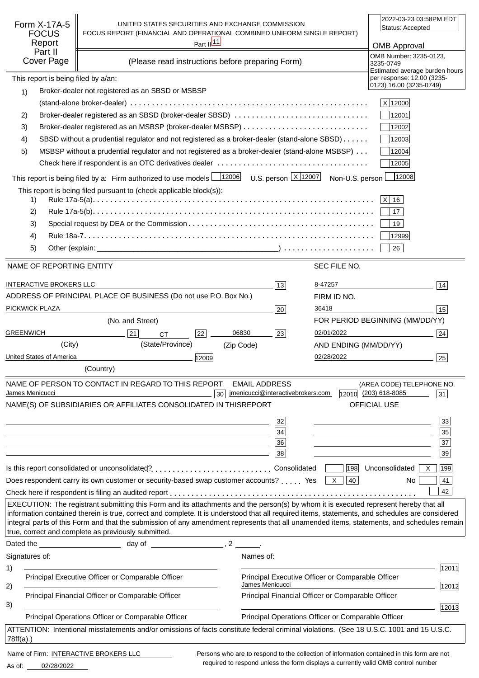| Form X-17A-5<br><b>FOCUS</b><br>Report<br>Part II<br>Cover Page | UNITED STATES SECURITIES AND EXCHANGE COMMISSION<br>FOCUS REPORT (FINANCIAL AND OPERATIONAL COMBINED UNIFORM SINGLE REPORT)                                                                                                                                                                                                                                                                                                            | Part $\frac{ 11 }{ }$<br>(Please read instructions before preparing Form) |                                                    |                                                    | 2022-03-23 03:58PM EDT<br>Status: Accepted<br><b>OMB Approval</b><br>OMB Number: 3235-0123, |
|-----------------------------------------------------------------|----------------------------------------------------------------------------------------------------------------------------------------------------------------------------------------------------------------------------------------------------------------------------------------------------------------------------------------------------------------------------------------------------------------------------------------|---------------------------------------------------------------------------|----------------------------------------------------|----------------------------------------------------|---------------------------------------------------------------------------------------------|
|                                                                 |                                                                                                                                                                                                                                                                                                                                                                                                                                        |                                                                           |                                                    |                                                    | 3235-0749<br>Estimated average burden hours                                                 |
| This report is being filed by a/an:                             |                                                                                                                                                                                                                                                                                                                                                                                                                                        |                                                                           |                                                    |                                                    | per response: 12.00 (3235-<br>0123) 16.00 (3235-0749)                                       |
| 1)                                                              | Broker-dealer not registered as an SBSD or MSBSP                                                                                                                                                                                                                                                                                                                                                                                       |                                                                           |                                                    |                                                    | X 12000                                                                                     |
| 2)                                                              | Broker-dealer registered as an SBSD (broker-dealer SBSD)                                                                                                                                                                                                                                                                                                                                                                               |                                                                           |                                                    |                                                    | 12001                                                                                       |
| 3)                                                              |                                                                                                                                                                                                                                                                                                                                                                                                                                        |                                                                           |                                                    |                                                    | 12002                                                                                       |
| 4)                                                              | SBSD without a prudential regulator and not registered as a broker-dealer (stand-alone SBSD)                                                                                                                                                                                                                                                                                                                                           |                                                                           |                                                    |                                                    | 12003                                                                                       |
| 5)                                                              | MSBSP without a prudential regulator and not registered as a broker-dealer (stand-alone MSBSP)                                                                                                                                                                                                                                                                                                                                         |                                                                           |                                                    |                                                    | 12004                                                                                       |
|                                                                 |                                                                                                                                                                                                                                                                                                                                                                                                                                        |                                                                           |                                                    |                                                    | 12005                                                                                       |
|                                                                 | This report is being filed by a: Firm authorized to use models $\frac{12006}{12006}$ U.S. person $\frac{X}{12007}$ Non-U.S. person                                                                                                                                                                                                                                                                                                     |                                                                           |                                                    |                                                    | 12008                                                                                       |
|                                                                 | This report is being filed pursuant to (check applicable block(s)):                                                                                                                                                                                                                                                                                                                                                                    |                                                                           |                                                    |                                                    |                                                                                             |
| 1)                                                              |                                                                                                                                                                                                                                                                                                                                                                                                                                        |                                                                           |                                                    |                                                    | $ X $ 16                                                                                    |
| 2)                                                              |                                                                                                                                                                                                                                                                                                                                                                                                                                        |                                                                           |                                                    |                                                    | 17                                                                                          |
| 3)                                                              |                                                                                                                                                                                                                                                                                                                                                                                                                                        |                                                                           |                                                    |                                                    | 19                                                                                          |
| 4)                                                              |                                                                                                                                                                                                                                                                                                                                                                                                                                        |                                                                           |                                                    |                                                    | 12999                                                                                       |
| 5)                                                              |                                                                                                                                                                                                                                                                                                                                                                                                                                        |                                                                           |                                                    |                                                    | 26                                                                                          |
| NAME OF REPORTING ENTITY                                        |                                                                                                                                                                                                                                                                                                                                                                                                                                        |                                                                           |                                                    | SEC FILE NO.                                       |                                                                                             |
|                                                                 |                                                                                                                                                                                                                                                                                                                                                                                                                                        |                                                                           |                                                    |                                                    |                                                                                             |
| <b>INTERACTIVE BROKERS LLC</b>                                  |                                                                                                                                                                                                                                                                                                                                                                                                                                        |                                                                           | 13                                                 | 8-47257                                            | 14                                                                                          |
|                                                                 | ADDRESS OF PRINCIPAL PLACE OF BUSINESS (Do not use P.O. Box No.)                                                                                                                                                                                                                                                                                                                                                                       |                                                                           |                                                    | FIRM ID NO.                                        |                                                                                             |
| PICKWICK PLAZA                                                  |                                                                                                                                                                                                                                                                                                                                                                                                                                        |                                                                           | 20                                                 | 36418                                              | 15                                                                                          |
|                                                                 | (No. and Street)                                                                                                                                                                                                                                                                                                                                                                                                                       |                                                                           |                                                    |                                                    | FOR PERIOD BEGINNING (MM/DD/YY)                                                             |
| <b>GREENWICH</b>                                                | 21<br><b>CT</b>                                                                                                                                                                                                                                                                                                                                                                                                                        | 06830<br>22                                                               | 23                                                 | 02/01/2022                                         | 24                                                                                          |
| (City)                                                          | (State/Province)                                                                                                                                                                                                                                                                                                                                                                                                                       | (Zip Code)                                                                |                                                    | AND ENDING (MM/DD/YY)                              |                                                                                             |
| United States of America                                        |                                                                                                                                                                                                                                                                                                                                                                                                                                        | 12009                                                                     |                                                    | 02/28/2022                                         | 25                                                                                          |
|                                                                 | (Country)                                                                                                                                                                                                                                                                                                                                                                                                                              |                                                                           |                                                    |                                                    |                                                                                             |
|                                                                 | NAME OF PERSON TO CONTACT IN REGARD TO THIS REPORT                                                                                                                                                                                                                                                                                                                                                                                     | <b>EMAIL ADDRESS</b>                                                      |                                                    |                                                    | (AREA CODE) TELEPHONE NO.                                                                   |
| James Menicucci                                                 | NAME(S) OF SUBSIDIARIES OR AFFILIATES CONSOLIDATED IN THIS                                                                                                                                                                                                                                                                                                                                                                             | 30                                                                        | jmenicucci@interactivebrokers.com<br><b>REPORT</b> |                                                    | 12010 (203) 618-8085<br>31<br>OFFICIAL USE                                                  |
|                                                                 |                                                                                                                                                                                                                                                                                                                                                                                                                                        |                                                                           |                                                    |                                                    |                                                                                             |
|                                                                 |                                                                                                                                                                                                                                                                                                                                                                                                                                        |                                                                           | 32                                                 |                                                    | 33                                                                                          |
|                                                                 |                                                                                                                                                                                                                                                                                                                                                                                                                                        |                                                                           | 34                                                 |                                                    | 35                                                                                          |
|                                                                 |                                                                                                                                                                                                                                                                                                                                                                                                                                        |                                                                           | 36<br>38                                           |                                                    | $\overline{37}$<br>39                                                                       |
|                                                                 |                                                                                                                                                                                                                                                                                                                                                                                                                                        |                                                                           |                                                    |                                                    |                                                                                             |
|                                                                 |                                                                                                                                                                                                                                                                                                                                                                                                                                        |                                                                           |                                                    |                                                    | 198 Unconsolidated<br>199<br>X                                                              |
|                                                                 | Does respondent carry its own customer or security-based swap customer accounts?  Yes $\boxed{\times}$                                                                                                                                                                                                                                                                                                                                 |                                                                           |                                                    | 40                                                 | 41<br>No.<br>42                                                                             |
|                                                                 |                                                                                                                                                                                                                                                                                                                                                                                                                                        |                                                                           |                                                    |                                                    |                                                                                             |
|                                                                 | EXECUTION: The registrant submitting this Form and its attachments and the person(s) by whom it is executed represent hereby that all<br>information contained therein is true, correct and complete. It is understood that all required items, statements, and schedules are considered<br>integral parts of this Form and that the submission of any amendment represents that all unamended items, statements, and schedules remain |                                                                           |                                                    |                                                    |                                                                                             |
|                                                                 | true, correct and complete as previously submitted.                                                                                                                                                                                                                                                                                                                                                                                    |                                                                           |                                                    |                                                    |                                                                                             |
|                                                                 |                                                                                                                                                                                                                                                                                                                                                                                                                                        |                                                                           |                                                    |                                                    |                                                                                             |
| Signatures of:                                                  |                                                                                                                                                                                                                                                                                                                                                                                                                                        | Names of:                                                                 |                                                    |                                                    |                                                                                             |
| 1)                                                              | Principal Executive Officer or Comparable Officer                                                                                                                                                                                                                                                                                                                                                                                      |                                                                           |                                                    | Principal Executive Officer or Comparable Officer  | 12011                                                                                       |
| 2)                                                              |                                                                                                                                                                                                                                                                                                                                                                                                                                        |                                                                           | James Menicucci                                    |                                                    | 12012                                                                                       |
| 3)                                                              | Principal Financial Officer or Comparable Officer                                                                                                                                                                                                                                                                                                                                                                                      |                                                                           |                                                    | Principal Financial Officer or Comparable Officer  |                                                                                             |
|                                                                 | Principal Operations Officer or Comparable Officer                                                                                                                                                                                                                                                                                                                                                                                     |                                                                           |                                                    | Principal Operations Officer or Comparable Officer | 12013                                                                                       |
|                                                                 | ATTENTION: Intentional misstatements and/or omissions of facts constitute federal criminal violations. (See 18 U.S.C. 1001 and 15 U.S.C.                                                                                                                                                                                                                                                                                               |                                                                           |                                                    |                                                    |                                                                                             |
| 78ff(a).                                                        |                                                                                                                                                                                                                                                                                                                                                                                                                                        |                                                                           |                                                    |                                                    |                                                                                             |
| Name of Firm: INTERACTIVE BROKERS LLC                           |                                                                                                                                                                                                                                                                                                                                                                                                                                        |                                                                           |                                                    |                                                    | Persons who are to respond to the collection of information contained in this form are not  |

02/28/2022 As of:

required to respond unless the form displays a currently valid OMB control number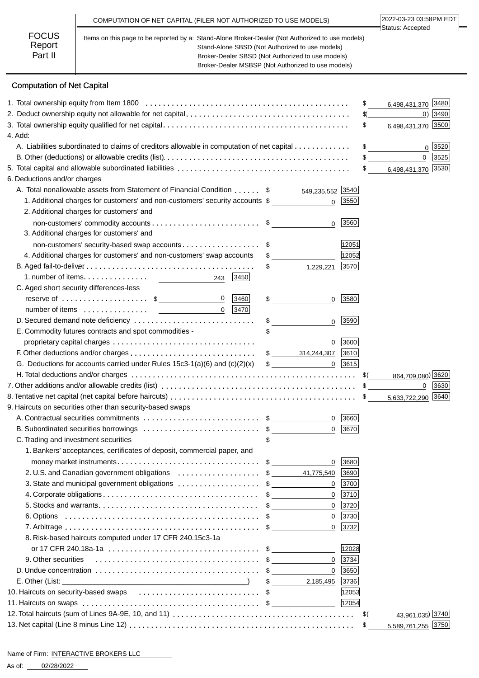|                                   | COMPUTATION OF NET CAPITAL (FILER NOT AUTHORIZED TO USE MODELS)                                                                                                                                                                                                | 2022-03-23 03:58PM EDT<br>Status: Accepted |
|-----------------------------------|----------------------------------------------------------------------------------------------------------------------------------------------------------------------------------------------------------------------------------------------------------------|--------------------------------------------|
| <b>FOCUS</b><br>Report<br>Part II | Items on this page to be reported by a: Stand-Alone Broker-Dealer (Not Authorized to use models)<br>Stand-Alone SBSD (Not Authorized to use models)<br>Broker-Dealer SBSD (Not Authorized to use models)<br>Broker-Dealer MSBSP (Not Authorized to use models) |                                            |

# Computation of Net Capital

|                                                                                            |                                   |            | 6,498,431,370 3480<br>\$           |
|--------------------------------------------------------------------------------------------|-----------------------------------|------------|------------------------------------|
|                                                                                            |                                   |            | $0)$ 3490<br>\$(_                  |
|                                                                                            |                                   |            | 6,498,431,370 3500<br>\$           |
| 4. Add:                                                                                    |                                   |            |                                    |
| A. Liabilities subordinated to claims of creditors allowable in computation of net capital |                                   |            | \$<br>0 3520                       |
|                                                                                            |                                   |            | $\overline{0}$<br>3525             |
|                                                                                            |                                   |            | 6,498,431,370 3530<br>$\mathbb{S}$ |
| 6. Deductions and/or charges                                                               |                                   |            |                                    |
| A. Total nonallowable assets from Statement of Financial Condition \$ 549,235,552 5540     |                                   |            |                                    |
| 1. Additional charges for customers' and non-customers' security accounts \$               | $\Omega$                          | 3550       |                                    |
| 2. Additional charges for customers' and                                                   |                                   |            |                                    |
|                                                                                            | $\Omega$                          | 3560       |                                    |
| 3. Additional charges for customers' and                                                   |                                   |            |                                    |
| non-customers' security-based swap accounts\$                                              |                                   | 12051      |                                    |
| 4. Additional charges for customers' and non-customers' swap accounts                      | $\mathfrak s$                     | 12052      |                                    |
|                                                                                            | $\frac{1}{\sqrt{2}}$<br>1,229,221 | 3570       |                                    |
| 3450<br>243                                                                                |                                   |            |                                    |
| C. Aged short security differences-less                                                    |                                   |            |                                    |
| $\mathbf 0$<br>reserve of $\dots\dots\dots\dots\dots\dots$ \$<br>3460                      | \$<br>0                           | 3580       |                                    |
| $0$   3470                                                                                 |                                   |            |                                    |
| D. Secured demand note deficiency                                                          | \$<br>$\mathbf{0}$                | 3590       |                                    |
| E. Commodity futures contracts and spot commodities -                                      |                                   |            |                                    |
|                                                                                            | 0                                 | 3600       |                                    |
|                                                                                            |                                   |            |                                    |
| G. Deductions for accounts carried under Rules $15c3-1(a)(6)$ and $(c)(2)(x)$              | $\mathfrak{S}$                    | $0$   3615 |                                    |
|                                                                                            |                                   |            | 864,709,080) 3620                  |
|                                                                                            |                                   |            | 3630<br>$\mathbf{0}$               |
|                                                                                            |                                   |            | 5,633,722,290 3640                 |
| 9. Haircuts on securities other than security-based swaps                                  |                                   |            |                                    |
|                                                                                            |                                   | 0   3660   |                                    |
| B. Subordinated securities borrowings \$                                                   | 0                                 | 3670       |                                    |
| C. Trading and investment securities                                                       |                                   |            |                                    |
| 1. Bankers' acceptances, certificates of deposit, commercial paper, and                    |                                   |            |                                    |
|                                                                                            | 0                                 | 3680       |                                    |
| 2. U.S. and Canadian government obligations \$                                             | 41,775,540                        | 3690       |                                    |
| 3. State and municipal government obligations \$                                           | $\mathbf{0}$                      | 3700       |                                    |
|                                                                                            | $\mathbf 0$                       | 3710       |                                    |
|                                                                                            | $\mathbf{0}$                      | 3720       |                                    |
|                                                                                            | $\mathbf 0$                       | 3730       |                                    |
|                                                                                            | $\Omega$                          | 3732       |                                    |
| 8. Risk-based haircuts computed under 17 CFR 240.15c3-1a                                   |                                   |            |                                    |
|                                                                                            |                                   | 12028      |                                    |
| 9. Other securities                                                                        | $\mathbf 0$                       | 3734       |                                    |
|                                                                                            | $\Omega$                          | 3650       |                                    |
|                                                                                            | 2,185,495<br>$\sim$               | 3736       |                                    |
| 10. Haircuts on security-based swaps                                                       |                                   | 12053      |                                    |
|                                                                                            |                                   | 12054      |                                    |
|                                                                                            |                                   |            | 43,961,035) 3740<br>\$(            |
|                                                                                            |                                   |            | 5,589,761,255 3750<br>\$           |
|                                                                                            |                                   |            |                                    |

#### Name of Firm: INTERACTIVE BROKERS LLC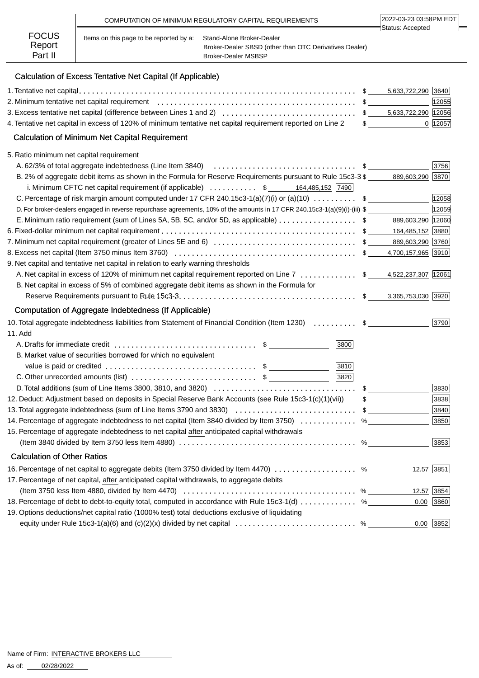|                        |                                         | COMPUTATION OF MINIMUM REGULATORY CAPITAL REQUIREMENTS                              | 2022-03-23 03:58PM EDT<br>∃Status: Accepted |
|------------------------|-----------------------------------------|-------------------------------------------------------------------------------------|---------------------------------------------|
| <b>FOCUS</b><br>Report | Items on this page to be reported by a: | Stand-Alone Broker-Dealer<br>Broker-Dealer SBSD (other than OTC Derivatives Dealer) |                                             |
| Part II                |                                         | <b>Broker-Dealer MSBSP</b>                                                          |                                             |

# Calculation of Excess Tentative Net Capital (If Applicable)

|                                                                                                                                              |   | 5,633,722,290 3640                |             |
|----------------------------------------------------------------------------------------------------------------------------------------------|---|-----------------------------------|-------------|
|                                                                                                                                              |   |                                   | 12055       |
|                                                                                                                                              |   |                                   |             |
| 4. Tentative net capital in excess of 120% of minimum tentative net capital requirement reported on Line 2                                   |   | $\frac{1}{2}$                     | 0 12057     |
| <b>Calculation of Minimum Net Capital Requirement</b>                                                                                        |   |                                   |             |
| 5. Ratio minimum net capital requirement                                                                                                     |   |                                   |             |
|                                                                                                                                              |   |                                   | 3756        |
| B. 2% of aggregate debit items as shown in the Formula for Reserve Requirements pursuant to Rule 15c3-3 \$                                   |   | 889,603,290 3870                  |             |
| i. Minimum CFTC net capital requirement (if applicable)  \$ 164,485,152 7490                                                                 |   |                                   |             |
| C. Percentage of risk margin amount computed under 17 CFR 240.15c3-1(a)(7)(i) or (a)(10)  \$                                                 |   |                                   | 12058       |
| D. For broker-dealers engaged in reverse repurchase agreements, 10% of the amounts in 17 CFR 240.15c3-1(a)(9)(i)-(iii) \$                    |   |                                   | 12059       |
| E. Minimum ratio requirement (sum of Lines 5A, 5B, 5C, and/or 5D, as applicable) \$                                                          |   | 889,603,290 12060                 |             |
|                                                                                                                                              |   |                                   |             |
|                                                                                                                                              |   |                                   |             |
|                                                                                                                                              |   |                                   |             |
| 9. Net capital and tentative net capital in relation to early warning thresholds                                                             |   |                                   |             |
| A. Net capital in excess of 120% of minimum net capital requirement reported on Line 7  \$ 4,522,237,307 12061                               |   |                                   |             |
| B. Net capital in excess of 5% of combined aggregate debit items as shown in the Formula for                                                 |   |                                   |             |
|                                                                                                                                              |   | 3,365,753,030 3920                |             |
| Computation of Aggregate Indebtedness (If Applicable)                                                                                        |   |                                   |             |
| 10. Total aggregate indebtedness liabilities from Statement of Financial Condition (Item 1230)  \$                                           |   |                                   | 3790        |
| 11. Add                                                                                                                                      |   |                                   |             |
| 3800                                                                                                                                         |   |                                   |             |
| B. Market value of securities borrowed for which no equivalent                                                                               |   |                                   |             |
| 3810                                                                                                                                         |   |                                   |             |
| 3820<br>C. Other unrecorded amounts (list) $\ldots$ $\ldots$ $\ldots$ $\ldots$ $\ldots$ $\ldots$ $\ddot{\text{s}}$                           |   |                                   |             |
|                                                                                                                                              |   | $\mathfrak{S}$ and $\mathfrak{S}$ | 3830        |
| 12. Deduct: Adjustment based on deposits in Special Reserve Bank Accounts (see Rule 15c3-1(c)(1)(vii))                                       |   | $\mathfrak s$                     | 3838        |
| 13. Total aggregate indebtedness (sum of Line Items 3790 and 3830) \$                                                                        |   |                                   | 3840        |
| 14. Percentage of aggregate indebtedness to net capital (Item 3840 divided by Item 3750)                                                     |   | $\%$                              | 3850        |
| 15. Percentage of aggregate indebtedness to net capital after anticipated capital withdrawals                                                |   |                                   |             |
| (Item 3840 divided by Item 3750 less Item 4880) $\ldots \ldots \ldots \ldots \ldots \ldots \ldots \ldots \ldots \ldots \ldots \ldots \ldots$ | % |                                   | 3853        |
| <b>Calculation of Other Ratios</b>                                                                                                           |   |                                   |             |
| 16. Percentage of net capital to aggregate debits (Item 3750 divided by Item 4470)  %                                                        |   |                                   | 12.57 3851  |
| 17. Percentage of net capital, after anticipated capital withdrawals, to aggregate debits                                                    |   |                                   |             |
| (Item 3750 less Item 4880, divided by Item 4470) $\ldots \ldots \ldots \ldots \ldots \ldots \ldots \ldots \ldots \ldots \ldots$              |   |                                   | 12.57 3854  |
| 18. Percentage of debt to debt-to-equity total, computed in accordance with Rule 15c3-1(d)  %                                                |   | 0.00                              | 3860        |
| 19. Options deductions/net capital ratio (1000% test) total deductions exclusive of liquidating                                              |   |                                   |             |
| equity under Rule 15c3-1(a)(6) and (c)(2)(x) divided by net capital $\ldots \ldots \ldots \ldots \ldots \ldots \ldots$ %                     |   |                                   | $0.00$ 3852 |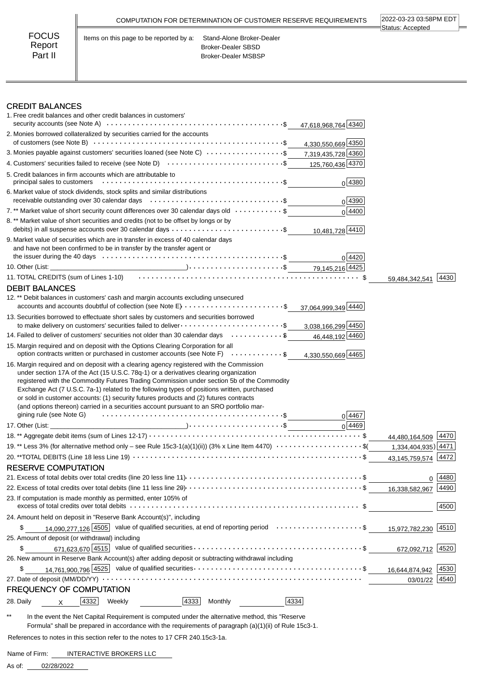|                                   | COMPUTATION FOR DETERMINATION OF CUSTOMER RESERVE REQUIREMENTS                                                           | 2022-03-23 03:58PM EDT<br>Status: Accepted |
|-----------------------------------|--------------------------------------------------------------------------------------------------------------------------|--------------------------------------------|
| <b>FOCUS</b><br>Report<br>Part II | Stand-Alone Broker-Dealer<br>Items on this page to be reported by a:<br>Broker-Dealer SBSD<br><b>Broker-Dealer MSBSP</b> |                                            |

# **CREDIT BALANCES**<br>1 Free credit balances and other

| 4333<br>4334<br>4332<br>Monthly<br>28. Daily<br>Weekly<br>$\times$                                                                                                                                                                                                                                                                                                                                                                                                                                            |                     |      |
|---------------------------------------------------------------------------------------------------------------------------------------------------------------------------------------------------------------------------------------------------------------------------------------------------------------------------------------------------------------------------------------------------------------------------------------------------------------------------------------------------------------|---------------------|------|
| <b>FREQUENCY OF COMPUTATION</b>                                                                                                                                                                                                                                                                                                                                                                                                                                                                               |                     |      |
|                                                                                                                                                                                                                                                                                                                                                                                                                                                                                                               | 03/01/22            | 4540 |
| \$                                                                                                                                                                                                                                                                                                                                                                                                                                                                                                            |                     | 4530 |
| 26. New amount in Reserve Bank Account(s) after adding deposit or subtracting withdrawal including                                                                                                                                                                                                                                                                                                                                                                                                            |                     |      |
| 671,623,670 $\overline{4515}$ value of qualified securities $\ldots \ldots \ldots \ldots \ldots \ldots \ldots \ldots \ldots \ldots \ldots \ldots$<br>\$                                                                                                                                                                                                                                                                                                                                                       | 672,092,712 4520    |      |
| 25. Amount of deposit (or withdrawal) including                                                                                                                                                                                                                                                                                                                                                                                                                                                               |                     |      |
| 14,090,277,126 $\overline{4505}$ value of qualified securities, at end of reporting period \$<br>\$                                                                                                                                                                                                                                                                                                                                                                                                           | 15,972,782,230 4510 |      |
| 24. Amount held on deposit in "Reserve Bank Account(s)", including                                                                                                                                                                                                                                                                                                                                                                                                                                            |                     |      |
| excess of total credits over total debits $\dots\dots\dots\dots\dots\dots\dots\dots\dots\dots\dots\dots\dots\dots\dots\dots\dots\dots$ \$                                                                                                                                                                                                                                                                                                                                                                     |                     | 4500 |
| 23. If computation is made monthly as permitted, enter 105% of                                                                                                                                                                                                                                                                                                                                                                                                                                                |                     |      |
|                                                                                                                                                                                                                                                                                                                                                                                                                                                                                                               | 16,338,582,967      | 4490 |
|                                                                                                                                                                                                                                                                                                                                                                                                                                                                                                               | 0                   | 4480 |
| <b>RESERVE COMPUTATION</b>                                                                                                                                                                                                                                                                                                                                                                                                                                                                                    |                     |      |
|                                                                                                                                                                                                                                                                                                                                                                                                                                                                                                               | 43,145,759,574      | 4472 |
| 19.** Less 3% (for alternative method only - see Rule 15c3-1(a)(1)(ii)) (3% x Line Item 4470) $\cdots \cdots \cdots \cdots$                                                                                                                                                                                                                                                                                                                                                                                   | 1,334,404,935) 4471 |      |
|                                                                                                                                                                                                                                                                                                                                                                                                                                                                                                               | 44,480,164,509      | 4470 |
| 0 4469                                                                                                                                                                                                                                                                                                                                                                                                                                                                                                        |                     |      |
| registered with the Commodity Futures Trading Commission under section 5b of the Commodity<br>Exchange Act (7 U.S.C. 7a-1) related to the following types of positions written, purchased<br>or sold in customer accounts: (1) security futures products and (2) futures contracts<br>(and options thereon) carried in a securities account pursuant to an SRO portfolio mar-<br>gining rule (see Note G) $\cdots$ $\cdots$ $\cdots$ $\cdots$ $\cdots$ $\cdots$ $\cdots$ $\cdots$ $\cdots$ $\cdots$<br>0 4467 |                     |      |
| 16. Margin required and on deposit with a clearing agency registered with the Commission<br>under section 17A of the Act (15 U.S.C. 78q-1) or a derivatives clearing organization                                                                                                                                                                                                                                                                                                                             |                     |      |
| 15. Margin required and on deposit with the Options Clearing Corporation for all<br>option contracts written or purchased in customer accounts (see Note F) \$<br>4,330,550,669 4465                                                                                                                                                                                                                                                                                                                          |                     |      |
| 14. Failed to deliver of customers' securities not older than 30 calendar days  \$<br>46,448,192 4460                                                                                                                                                                                                                                                                                                                                                                                                         |                     |      |
| 13. Securities borrowed to effectuate short sales by customers and securities borrowed<br>to make delivery on customers' securities failed to deliver \$<br>3,038,166,299 4450                                                                                                                                                                                                                                                                                                                                |                     |      |
| 12.** Debit balances in customers' cash and margin accounts excluding unsecured<br>accounts and accounts doubtful of collection (see Note $E$ ) $\ldots$ \$<br>37,064,999,349 4440                                                                                                                                                                                                                                                                                                                            |                     |      |
| <b>DEBIT BALANCES</b>                                                                                                                                                                                                                                                                                                                                                                                                                                                                                         |                     |      |
| 11. TOTAL CREDITS (sum of Lines 1-10) (and the context of the context of the state of the state of the state o                                                                                                                                                                                                                                                                                                                                                                                                | 59.484.342.541      | 4430 |
|                                                                                                                                                                                                                                                                                                                                                                                                                                                                                                               |                     |      |
| 9. Market value of securities which are in transfer in excess of 40 calendar days<br>and have not been confirmed to be in transfer by the transfer agent or<br>0 4420                                                                                                                                                                                                                                                                                                                                         |                     |      |
| debits) in all suspense accounts over 30 calendar days \$<br>10,481,728 4410                                                                                                                                                                                                                                                                                                                                                                                                                                  |                     |      |
| 8. ** Market value of short securities and credits (not to be offset by longs or by                                                                                                                                                                                                                                                                                                                                                                                                                           |                     |      |
| 7.** Market value of short security count differences over 30 calendar days old \$<br>0 4400                                                                                                                                                                                                                                                                                                                                                                                                                  |                     |      |
| 6. Market value of stock dividends, stock splits and similar distributions<br>$0\sqrt{4390}$                                                                                                                                                                                                                                                                                                                                                                                                                  |                     |      |
| 5. Credit balances in firm accounts which are attributable to<br>0 4380                                                                                                                                                                                                                                                                                                                                                                                                                                       |                     |      |
| 4. Customers' securities failed to receive (see Note D) $\cdots$ \$<br>125,760,436 4370                                                                                                                                                                                                                                                                                                                                                                                                                       |                     |      |
| 3. Monies payable against customers' securities loaned (see Note C)<br>7,319,435,728 4360                                                                                                                                                                                                                                                                                                                                                                                                                     |                     |      |
| 2. Monies borrowed collateralized by securities carried for the accounts<br>4,330,550,669 4350                                                                                                                                                                                                                                                                                                                                                                                                                |                     |      |
| 47,618,968,764 4340                                                                                                                                                                                                                                                                                                                                                                                                                                                                                           |                     |      |
| <b>CREDIT BALANCES</b><br>1. Free credit balances and other credit balances in customers'                                                                                                                                                                                                                                                                                                                                                                                                                     |                     |      |

\*\* In the event the Net Capital Requirement is computed under the alternative method, this "Reserve Formula" shall be prepared in accordance with the requirements of paragraph (a)(1)(ii) of Rule 15c3-1.

 $\overline{\phantom{a}}$ 

References to notes in this section refer to the notes to 17 CFR 240.15c3-1a.

Name of Firm: INTERACTIVE BROKERS LLC

02/28/2022 As of: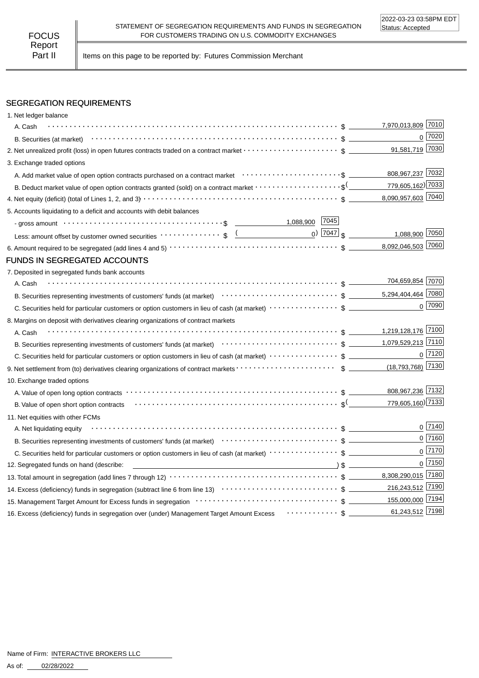Part II | Items on this page to be reported by: Futures Commission Merchant

# SEGREGATION REQUIREMENTS

| 1. Net ledger balance                                                                                                                                                                                                          |                                            |                |
|--------------------------------------------------------------------------------------------------------------------------------------------------------------------------------------------------------------------------------|--------------------------------------------|----------------|
| A. Cash                                                                                                                                                                                                                        | 7,970,013,809 7010                         |                |
|                                                                                                                                                                                                                                |                                            | $0$ 7020       |
|                                                                                                                                                                                                                                | 91,581,719 7030                            |                |
| 3. Exchange traded options                                                                                                                                                                                                     |                                            |                |
| A. Add market value of open option contracts purchased on a contract market enter-inferent content of the content                                                                                                              | 808,967,237 7032                           |                |
| B. Deduct market value of open option contracts granted (sold) on a contract market $\cdots\cdots\cdots\cdots\cdots\cdots$                                                                                                     | 779,605,162) 7033                          |                |
|                                                                                                                                                                                                                                | 8,090,957,603 7040                         |                |
| 5. Accounts liquidating to a deficit and accounts with debit balances                                                                                                                                                          |                                            |                |
| - gross amount \bit \\contract \\contract \\contract \\contract \\contract \\contract \\contract \\contract \\contract \\contract \\contract \\contract \\contract \\contract \\contract \\contract \\contract \\contract \\co |                                            |                |
| Less: amount offset by customer owned securities $\cdots \cdots \cdots$ \$ $\frac{($                                                                                                                                           | $_0$ ) $\boxed{7047}$ \$<br>1,088,900 7050 |                |
|                                                                                                                                                                                                                                | 8,092,046,503 7060                         |                |
| <b>FUNDS IN SEGREGATED ACCOUNTS</b>                                                                                                                                                                                            |                                            |                |
| 7. Deposited in segregated funds bank accounts                                                                                                                                                                                 |                                            |                |
| A. Cash                                                                                                                                                                                                                        | 704,659,854 7070                           |                |
| B. Securities representing investments of customers' funds (at market) (and market) and contain the securities representing investments of customers' funds (at market) and contain the securities representing in Securities  | 5,294,404,464 7080                         |                |
|                                                                                                                                                                                                                                |                                            | $0$ 7090       |
| 8. Margins on deposit with derivatives clearing organizations of contract markets                                                                                                                                              |                                            |                |
| A. Cash                                                                                                                                                                                                                        | 1,219,128,176 7100                         |                |
|                                                                                                                                                                                                                                | 1,079,529,213 7110                         |                |
|                                                                                                                                                                                                                                |                                            | 0 7120         |
|                                                                                                                                                                                                                                | (18,793,768) 7130                          |                |
| 10. Exchange traded options                                                                                                                                                                                                    |                                            |                |
|                                                                                                                                                                                                                                | 808,967,236 7132                           |                |
| B. Value of open short option contracts $\cdots \cdots \cdots \cdots \cdots \cdots \cdots \cdots \cdots \cdots \cdots \cdots \cdots$                                                                                           | 779,605,160) 7133                          |                |
| 11. Net equities with other FCMs                                                                                                                                                                                               |                                            |                |
| A. Net liquidating equity                                                                                                                                                                                                      |                                            | $0\sqrt{7140}$ |
| B. Securities representing investments of customers' funds (at market) $\cdots \cdots \cdots \cdots \cdots \cdots \cdots$ \$                                                                                                   |                                            | $0$ 7160       |
|                                                                                                                                                                                                                                |                                            | $0$ 7170       |
| 12. Segregated funds on hand (describe:                                                                                                                                                                                        |                                            | $0$ 7150       |
|                                                                                                                                                                                                                                |                                            |                |
|                                                                                                                                                                                                                                | 216,243,512 7190                           |                |
| 155,000,000 7194                                                                                                                                                                                                               |                                            |                |
| 16. Excess (deficiency) funds in segregation over (under) Management Target Amount Excess Frammers (3 __                                                                                                                       | 61,243,512 7198                            |                |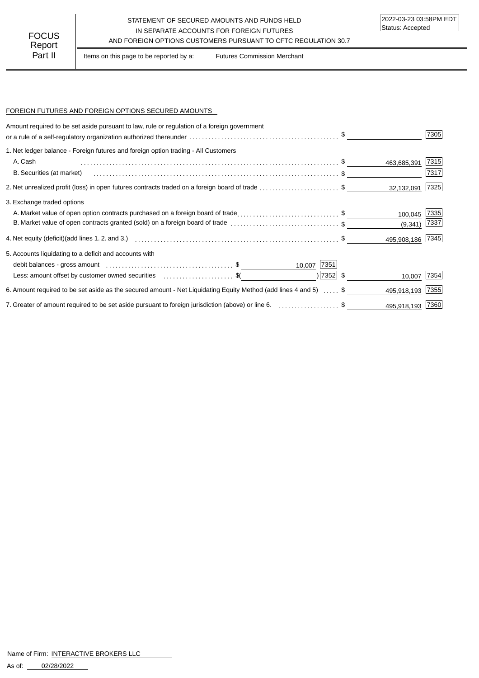# STATEMENT OF SECURED AMOUNTS AND FUNDS HELD IN SEPARATE ACCOUNTS FOR FOREIGN FUTURES FOCUS IN SEPARATE ACCOUNTS FOR FOREIGN FUTURES<br>Report

Part II | Items on this page to be reported by a: Futures Commission Merchant

## FOREIGN FUTURES AND FOREIGN OPTIONS SECURED AMOUNTS

| Amount required to be set aside pursuant to law, rule or regulation of a foreign government                                   |                  | 7305 |
|-------------------------------------------------------------------------------------------------------------------------------|------------------|------|
| 1. Net ledger balance - Foreign futures and foreign option trading - All Customers                                            |                  |      |
| A. Cash                                                                                                                       | 463,685,391      | 7315 |
| B. Securities (at market)                                                                                                     |                  | 7317 |
| 2. Net unrealized profit (loss) in open futures contracts traded on a foreign board of trade \$                               | 32,132,091       | 7325 |
| 3. Exchange traded options                                                                                                    |                  |      |
| A. Market value of open option contracts purchased on a foreign board of trade\$                                              | 100,045          | 7335 |
| B. Market value of open contracts granted (sold) on a foreign board of trade \$                                               | (9,341)          | 7337 |
|                                                                                                                               | 495,908,186 7345 |      |
| 5. Accounts liquidating to a deficit and accounts with                                                                        |                  |      |
| 10,007 7351                                                                                                                   |                  |      |
| $ 7352 $ \$<br>Less: amount offset by customer owned securities \$(                                                           | 10,007           | 7354 |
| 6. Amount required to be set aside as the secured amount - Net Liquidating Equity Method (add lines 4 and 5)                  | 495,918,193      | 7355 |
| 7. Greater of amount required to be set aside pursuant to foreign jurisdiction (above) or line 6. [1, 1, 2, 2, 2, 2, 2, 3, 5] | 495,918,193 7360 |      |